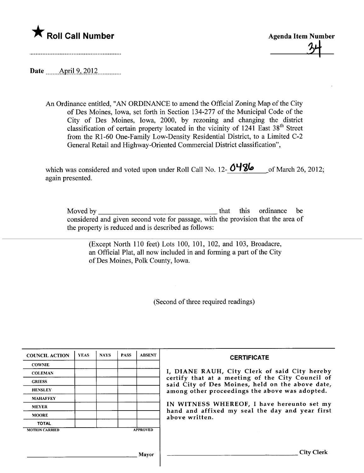



Date \_\_\_\_\_\_ April 9, 2012

An Ordinance entitled, "AN ORDINANCE to amend the Official Zoning Map of the City of Des Moines, Iowa, set forth in Section 134-277 of the Municipal Code of the City of Des Moines, Iowa, 2000, by rezoning and changing the district classification of certain property located in the vicinity of  $1241$  East  $38<sup>th</sup>$  Street from the RI-60 One-Family Low-Density Residential District, to a Limited C-2 General Retail and Highway-Oriented Commercial District classification",

| which was considered and voted upon under Roll Call No. 12- $O$ <sup>4</sup> 86 | of March 26, 2012; |
|---------------------------------------------------------------------------------|--------------------|
| again presented.                                                                |                    |

| Moved by                                                                          |  | that this ordinance be |  |
|-----------------------------------------------------------------------------------|--|------------------------|--|
| considered and given second vote for passage, with the provision that the area of |  |                        |  |
| the property is reduced and is described as follows:                              |  |                        |  |

(Except North 110 feet) Lots 100, 101, 102, and 103, Broadacre, an Official Plat, all now included in and forming a part of the City of Des Moines, Polk County, Iowa.

(Second of three required readings)

| <b>COUNCIL ACTION</b> | <b>YEAS</b> | <b>NAYS</b> | <b>PASS</b> | <b>ABSENT</b>   | <b>CERTIFICATE</b>                                                                                   |
|-----------------------|-------------|-------------|-------------|-----------------|------------------------------------------------------------------------------------------------------|
| <b>COWNIE</b>         |             |             |             |                 |                                                                                                      |
| <b>COLEMAN</b>        |             |             |             |                 | I, DIANE RAUH, City Clerk of said City hereby                                                        |
| <b>GRIESS</b>         |             |             |             |                 | certify that at a meeting of the City Council of<br>said City of Des Moines, held on the above date, |
| <b>HENSLEY</b>        |             |             |             |                 | among other proceedings the above was adopted.                                                       |
| <b>MAHAFFEY</b>       |             |             |             |                 |                                                                                                      |
| <b>MEYER</b>          |             |             |             |                 | IN WITNESS WHEREOF, I have hereunto set my<br>hand and affixed my seal the day and year first        |
| <b>MOORE</b>          |             |             |             |                 | above written.                                                                                       |
| <b>TOTAL</b>          |             |             |             |                 |                                                                                                      |
| <b>MOTION CARRIED</b> |             |             |             | <b>APPROVED</b> |                                                                                                      |
|                       |             |             |             |                 |                                                                                                      |
|                       |             |             |             |                 |                                                                                                      |
|                       |             |             |             | Mayor           | City                                                                                                 |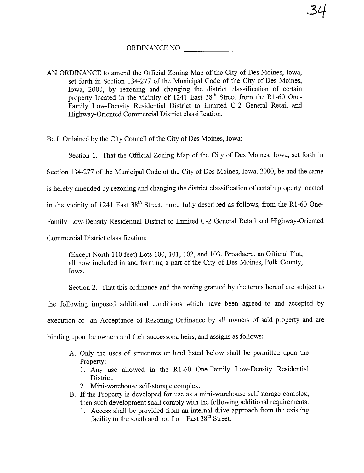## ORDINANCE NO.

34

AN ORDINANCE to amend the Official Zoning Map of the City of Des Moines, Iowa, set forth in Section 134-277 of the Municipal Code of the City of Des Moines, Iowa, 2000, by rezoning and changing the district classification of certain property located in the vicinity of  $1241$  East  $38<sup>th</sup>$  Street from the R1-60 One-Family Low-Density Residential District to Limited C-2 General Retail and Highway-Oriented Commercial District classification.

Be It Ordained by the City Council of the City of Des Moines, Iowa:

Section 1. That the Official Zoning Map of the City of Des Moines, Iowa, set forth in

Section 134-277 of the Municipal Code of the City of Des Moines, Iowa, 2000, be and the same

is hereby amended by rezoning and changing the district classification of certain property located

in the vicinity of 1241 East  $38<sup>th</sup>$  Street, more fully described as follows, from the R1-60 One-

Family Low-Density Residential District to Limited C-2 General Retail and Highway-Oriented

Commercial District classification:

(Except North 110 feet) Lots 100, 101, 102, and 103, Broadacre, an Official Plat, all now included in and forming a part of the City of Des Moines, Polk County, Iowa.

Section 2. That this ordinance and the zoning granted by the terms hereof are subject to

the following imposed additional conditions which have been agreed to and accepted by

execution of an Acceptance of Rezonig Ordinance by all owners of said property and are

binding upon the owners and their successors, heirs, and assigns as follows:

- A. Only the uses of structures or land listed below shall be permitted upon the Property:
	- 1. Any use allowed in the RI-60 One-Family Low-Density Residential District.
	- 2. Mini-warehouse self-storage complex.
- B. If the Property is developed for use as a mini-warehouse self-storage complex, then such development shall comply with the following additional requirements:
	- 1. Access shall be provided from an internal drive approach from the existing facility to the south and not from East 38<sup>th</sup> Street.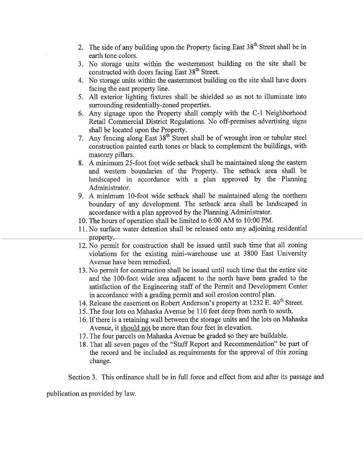- 2. The side of any building upon the Property facing East  $38<sup>th</sup>$  Street shall be in earth tone colors.
- 3. No storage units within the westernost building on the site shall be constructed with doors facing East 38<sup>th</sup> Street.
- 4. No storage units within the easternost building on the site shall have doors facing the east property line.
- 5. All exterior lighting fixtues shall be shielded so as not to iluminate into surrounding residentially-zoned properties.
- 6. Any signage upon the Property shall comply with the C-L Neighborhood Retail Commercial District Regulations. No off-premises advertising signs shall be located upon the Property.
- 7. Any fencing along East  $38<sup>th</sup>$  Street shall be of wrought iron or tubular steel construction painted earth tones or black to complement the buildings, with masonry pillars.
- 8. A minimum 25-foot foot wide setback shall be maintained along the eastern and western boundaries of the Property. The setback area shall be landscaped in accordance with a plan approved by the Planning Administrator.
- 9. A minimum 10-foot wide setback shall be maintained along the northern boundary of any development. The setback area shall be landscaped in accordance with a plan approved by the Planning Administrator.
- 10. The hours of operation shall be limited to 6:00 AM to 10:00 PM.
- 11. No surface water detention shall be released onto any adjoining residential property
- 12. No permit for construction shall be issued until such time that all zoning violations for the existing mini-warehouse use at 3800 East University Avenue have been remedied.
- 13. No permit for construction shall be issued until such time that the entire site and the 100-foot wide area adjacent to the north have been graded to the satisfaction of the Engineering staff of the Permit and Development Center in accordance with a grading permit and soil erosion control plan.
- 14. Release the easement on Robert Anderson's property at  $1232 \text{ E}$ .  $40^{\text{th}}$  Street.
- 15. The four lots on Mahaska Avenue be 110 feet deep from north to south.
- 16. If there is a retaining wall between the storage units and the lots on Mahaska Avenue, it should not be more than four feet in elevation.
- 17. The four parcels on Mahaska Avenue be graded so they are buildable.
- 18. That all seven pages of the "Staff Report and Recommendation" be par of the record and be included as requirements for the approval of this zoning change.

Section 3. This ordinance shall be in full force and effect from and after its passage and

publication as provided by law.